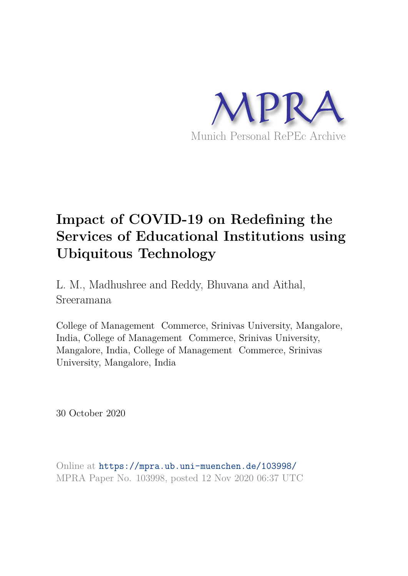

# **Impact of COVID-19 on Redefining the Services of Educational Institutions using Ubiquitous Technology**

L. M., Madhushree and Reddy, Bhuvana and Aithal, Sreeramana

College of Management Commerce, Srinivas University, Mangalore, India, College of Management Commerce, Srinivas University, Mangalore, India, College of Management Commerce, Srinivas University, Mangalore, India

30 October 2020

Online at https://mpra.ub.uni-muenchen.de/103998/ MPRA Paper No. 103998, posted 12 Nov 2020 06:37 UTC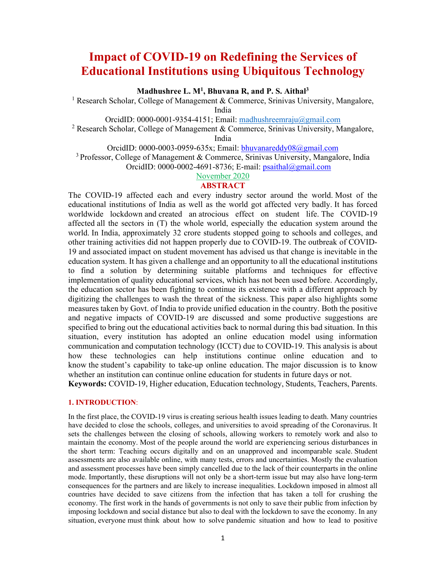# **Impact of COVID-19 on Redefining the Services of Educational Institutions using Ubiquitous Technology**

**Madhushree L. M<sup>1</sup> , Bhuvana R, and P. S. Aithal<sup>3</sup>**

<sup>1</sup> Research Scholar, College of Management & Commerce, Srinivas University, Mangalore, India

OrcidID: 0000-0001-9354-4151; Email: madhushreemraju@gmail.com

<sup>2</sup> Research Scholar, College of Management & Commerce, Srinivas University, Mangalore,

India

OrcidID:  $0000-0003-0959-635x$ ; Email: bhuvanareddy $08@g$ gmail.com <sup>3</sup> Professor, College of Management & Commerce, Srinivas University, Mangalore, India

OrcidID: 0000-0002-4691-8736; E-mail: psaithal@gmail.com

November 2020

# **ABSTRACT**

The COVID-19 affected each and every industry sector around the world. Most of the educational institutions of India as well as the world got affected very badly. It has forced worldwide lockdown and created an atrocious effect on student life. The COVID-19 affected all the sectors in (T) the whole world, especially the education system around the world. In India, approximately 32 crore students stopped going to schools and colleges, and other training activities did not happen properly due to COVID-19. The outbreak of COVID-19 and associated impact on student movement has advised us that change is inevitable in the education system. It has given a challenge and an opportunity to all the educational institutions to find a solution by determining suitable platforms and techniques for effective implementation of quality educational services, which has not been used before. Accordingly, the education sector has been fighting to continue its existence with a different approach by digitizing the challenges to wash the threat of the sickness. This paper also highlights some measures taken by Govt. of India to provide unified education in the country. Both the positive and negative impacts of COVID-19 are discussed and some productive suggestions are specified to bring out the educational activities back to normal during this bad situation. In this situation, every institution has adopted an online education model using information communication and computation technology (ICCT) due to COVID-19. This analysis is about how these technologies can help institutions continue online education and to know the student's capability to take-up online education. The major discussion is to know whether an institution can continue online education for students in future days or not.

**Keywords:** COVID-19, Higher education, Education technology, Students, Teachers, Parents.

### **1. INTRODUCTION**:

In the first place, the COVID-19 virus is creating serious health issues leading to death. Many countries have decided to close the schools, colleges, and universities to avoid spreading of the Coronavirus. It sets the challenges between the closing of schools, allowing workers to remotely work and also to maintain the economy. Most of the people around the world are experiencing serious disturbances in the short term: Teaching occurs digitally and on an unapproved and incomparable scale. Student assessments are also available online, with many tests, errors and uncertainties. Mostly the evaluation and assessment processes have been simply cancelled due to the lack of their counterparts in the online mode. Importantly, these disruptions will not only be a short-term issue but may also have long-term consequences for the partners and are likely to increase inequalities. Lockdown imposed in almost all countries have decided to save citizens from the infection that has taken a toll for crushing the economy. The first work in the hands of governments is not only to save their public from infection by imposing lockdown and social distance but also to deal with the lockdown to save the economy. In any situation, everyone must think about how to solve pandemic situation and how to lead to positive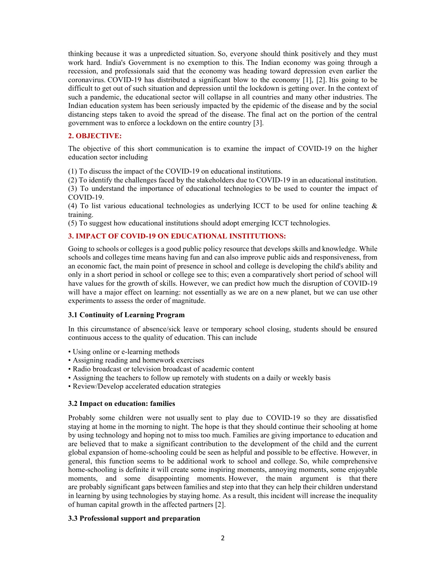thinking because it was a unpredicted situation. So, everyone should think positively and they must work hard. India's Government is no exemption to this. The Indian economy was going through a recession, and professionals said that the economy was heading toward depression even earlier the coronavirus. COVID-19 has distributed a significant blow to the economy [1], [2]. Itis going to be difficult to get out of such situation and depression until the lockdown is getting over. In the context of such a pandemic, the educational sector will collapse in all countries and many other industries. The Indian education system has been seriously impacted by the epidemic of the disease and by the social distancing steps taken to avoid the spread of the disease. The final act on the portion of the central government was to enforce a lockdown on the entire country [3].

# **2. OBJECTIVE:**

The objective of this short communication is to examine the impact of COVID-19 on the higher education sector including

(1) To discuss the impact of the COVID-19 on educational institutions.

(2) To identify the challenges faced by the stakeholders due to COVID-19 in an educational institution. (3) To understand the importance of educational technologies to be used to counter the impact of COVID-19.

(4) To list various educational technologies as underlying ICCT to be used for online teaching & training.

(5) To suggest how educational institutions should adopt emerging ICCT technologies.

### **3. IMPACT OF COVID-19 ON EDUCATIONAL INSTITUTIONS:**

Going to schools or colleges is a good public policy resource that develops skills and knowledge. While schools and colleges time means having fun and can also improve public aids and responsiveness, from an economic fact, the main point of presence in school and college is developing the child's ability and only in a short period in school or college see to this; even a comparatively short period of school will have values for the growth of skills. However, we can predict how much the disruption of COVID-19 will have a major effect on learning: not essentially as we are on a new planet, but we can use other experiments to assess the order of magnitude.

#### **3.1 Continuity of Learning Program**

In this circumstance of absence/sick leave or temporary school closing, students should be ensured continuous access to the quality of education. This can include

- Using online or e-learning methods
- Assigning reading and homework exercises
- Radio broadcast or television broadcast of academic content
- Assigning the teachers to follow up remotely with students on a daily or weekly basis
- Review/Develop accelerated education strategies

#### **3.2 Impact on education: families**

Probably some children were not usually sent to play due to COVID-19 so they are dissatisfied staying at home in the morning to night. The hope is that they should continue their schooling at home by using technology and hoping not to miss too much. Families are giving importance to education and are believed that to make a significant contribution to the development of the child and the current global expansion of home-schooling could be seen as helpful and possible to be effective. However, in general, this function seems to be additional work to school and college. So, while comprehensive home-schooling is definite it will create some inspiring moments, annoying moments, some enjoyable moments, and some disappointing moments. However, the main argument is that there are probably significant gaps between families and step into that they can help their children understand in learning by using technologies by staying home. As a result, this incident will increase the inequality of human capital growth in the affected partners [2].

# **3.3 Professional support and preparation**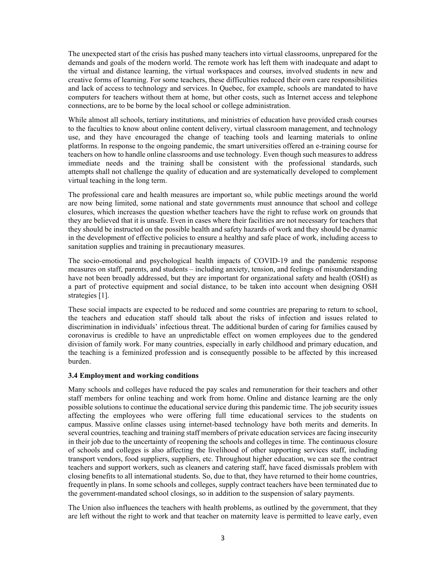The unexpected start of the crisis has pushed many teachers into virtual classrooms, unprepared for the demands and goals of the modern world. The remote work has left them with inadequate and adapt to the virtual and distance learning, the virtual workspaces and courses, involved students in new and creative forms of learning. For some teachers, these difficulties reduced their own care responsibilities and lack of access to technology and services. In Quebec, for example, schools are mandated to have computers for teachers without them at home, but other costs, such as Internet access and telephone connections, are to be borne by the local school or college administration.

While almost all schools, tertiary institutions, and ministries of education have provided crash courses to the faculties to know about online content delivery, virtual classroom management, and technology use, and they have encouraged the change of teaching tools and learning materials to online platforms. In response to the ongoing pandemic, the smart universities offered an e-training course for teachers on how to handle online classrooms and use technology. Even though such measures to address immediate needs and the training shall be consistent with the professional standards, such attempts shall not challenge the quality of education and are systematically developed to complement virtual teaching in the long term.

The professional care and health measures are important so, while public meetings around the world are now being limited, some national and state governments must announce that school and college closures, which increases the question whether teachers have the right to refuse work on grounds that they are believed that it is unsafe. Even in cases where their facilities are not necessary for teachers that they should be instructed on the possible health and safety hazards of work and they should be dynamic in the development of effective policies to ensure a healthy and safe place of work, including access to sanitation supplies and training in precautionary measures.

The socio-emotional and psychological health impacts of COVID-19 and the pandemic response measures on staff, parents, and students – including anxiety, tension, and feelings of misunderstanding have not been broadly addressed, but they are important for organizational safety and health (OSH) as a part of protective equipment and social distance, to be taken into account when designing OSH strategies [1].

These social impacts are expected to be reduced and some countries are preparing to return to school, the teachers and education staff should talk about the risks of infection and issues related to discrimination in individuals' infectious threat. The additional burden of caring for families caused by coronavirus is credible to have an unpredictable effect on women employees due to the gendered division of family work. For many countries, especially in early childhood and primary education, and the teaching is a feminized profession and is consequently possible to be affected by this increased burden.

#### **3.4 Employment and working conditions**

Many schools and colleges have reduced the pay scales and remuneration for their teachers and other staff members for online teaching and work from home. Online and distance learning are the only possible solutions to continue the educational service during this pandemic time. The job security issues affecting the employees who were offering full time educational services to the students on campus. Massive online classes using internet-based technology have both merits and demerits. In several countries, teaching and training staff members of private education services are facing insecurity in their job due to the uncertainty of reopening the schools and colleges in time. The continuous closure of schools and colleges is also affecting the livelihood of other supporting services staff, including transport vendors, food suppliers, suppliers, etc. Throughout higher education, we can see the contract teachers and support workers, such as cleaners and catering staff, have faced dismissals problem with closing benefits to all international students. So, due to that, they have returned to their home countries, frequently in plans. In some schools and colleges, supply contract teachers have been terminated due to the government-mandated school closings, so in addition to the suspension of salary payments.

The Union also influences the teachers with health problems, as outlined by the government, that they are left without the right to work and that teacher on maternity leave is permitted to leave early, even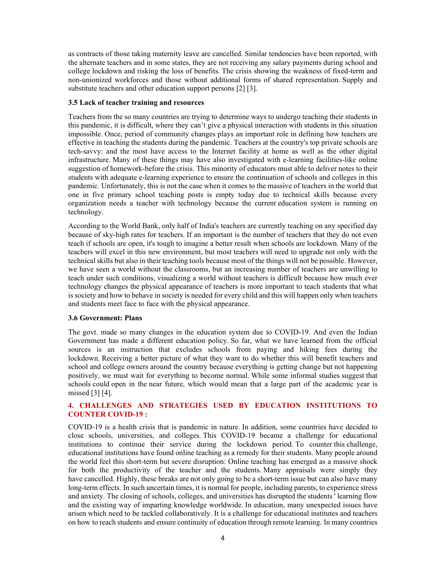as contracts of those taking maternity leave are cancelled. Similar tendencies have been reported, with the alternate teachers and in some states, they are not receiving any salary payments during school and college lockdown and risking the loss of benefits. The crisis showing the weakness of fixed-term and non-unionized workforces and those without additional forms of shared representation. Supply and substitute teachers and other education support persons [2] [3].

#### **3.5 Lack of teacher training and resources**

Teachers from the so many countries are trying to determine ways to undergo teaching their students in this pandemic, it is difficult, where they can't give a physical interaction with students in this situation impossible. Once, period of community changes plays an important role in defining how teachers are effective in teaching the students during the pandemic. Teachers at the country's top private schools are tech-savvy: and the most have access to the Internet facility at home as well as the other digital infrastructure. Many of these things may have also investigated with e-learning facilities-like online suggestion of homework-before the crisis. This minority of educators must able to deliver notes to their students with adequate e-learning experience to ensure the continuation of schools and colleges in this pandemic. Unfortunately, this is not the case when it comes to the massive of teachers in the world that one in five primary school teaching posts is empty today due to technical skills because every organization needs a teacher with technology because the current education system is running on technology.

According to the World Bank, only half of India's teachers are currently teaching on any specified day because of sky-high rates for teachers. If an important is the number of teachers that they do not even teach if schools are open, it's tough to imagine a better result when schools are lockdown. Many of the teachers will excel in this new environment, but most teachers will need to upgrade not only with the technical skills but also in their teaching tools because most of the things will not be possible. However, we have seen a world without the classrooms, but an increasing number of teachers are unwilling to teach under such conditions, visualizing a world without teachers is difficult because how much ever technology changes the physical appearance of teachers is more important to teach students that what is society and how to behave in society is needed for every child and this will happen only when teachers and students meet face to face with the physical appearance.

#### **3.6 Government: Plans**

The govt. made so many changes in the education system due to COVID-19. And even the Indian Government has made a different education policy. So far, what we have learned from the official sources is an instruction that excludes schools from paying and hiking fees during the lockdown. Receiving a better picture of what they want to do whether this will benefit teachers and school and college owners around the country because everything is getting change but not happening positively, we must wait for everything to become normal. While some informal studies suggest that schools could open in the near future, which would mean that a large part of the academic year is missed [3] [4].

# **4. CHALLENGES AND STRATEGIES USED BY EDUCATION INSTITUTIONS TO COUNTER COVID-19 :**

COVID-19 is a health crisis that is pandemic in nature. In addition, some countries have decided to close schools, universities, and colleges. This COVID-19 became a challenge for educational institutions to continue their service during the lockdown period. To counter this challenge, educational institutions have found online teaching as a remedy for their students. Many people around the world feel this short-term but severe disruption: Online teaching has emerged as a massive shock for both the productivity of the teacher and the students. Many appraisals were simply they have cancelled. Highly, these breaks are not only going to be a short-term issue but can also have many long-term effects. In such uncertain times, it is normal for people, including parents, to experience stress and anxiety. The closing of schools, colleges, and universities has disrupted the students ' learning flow and the existing way of imparting knowledge worldwide. In education, many unexpected issues have arisen which need to be tackled collaboratively. It is a challenge for educational institutes and teachers on how to reach students and ensure continuity of education through remote learning. In many countries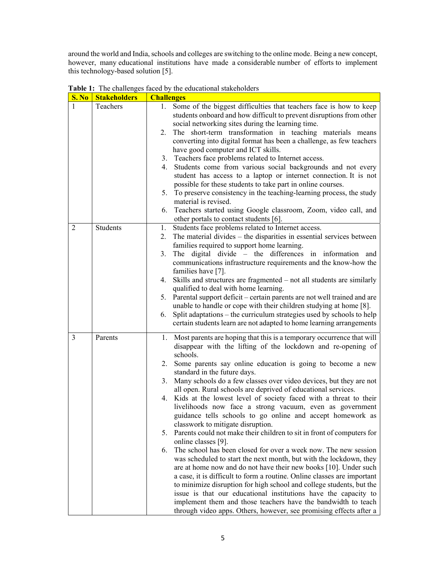around the world and India, schools and colleges are switching to the online mode. Being a new concept, however, many educational institutions have made a considerable number of efforts to implement this technology-based solution [5].

| <b>S. No</b>   | <b>Stakeholders</b> | <b>Challenges</b>                                                                                                                                                                                                                                                                                                                                                                                                                                                                                                                                                                                                                                                                                                                                                                                                                                                                                                                                                                                                                                                                                                                                                                                                                                                                                                                  |  |
|----------------|---------------------|------------------------------------------------------------------------------------------------------------------------------------------------------------------------------------------------------------------------------------------------------------------------------------------------------------------------------------------------------------------------------------------------------------------------------------------------------------------------------------------------------------------------------------------------------------------------------------------------------------------------------------------------------------------------------------------------------------------------------------------------------------------------------------------------------------------------------------------------------------------------------------------------------------------------------------------------------------------------------------------------------------------------------------------------------------------------------------------------------------------------------------------------------------------------------------------------------------------------------------------------------------------------------------------------------------------------------------|--|
| 1              | Teachers            | 1. Some of the biggest difficulties that teachers face is how to keep<br>students onboard and how difficult to prevent disruptions from other<br>social networking sites during the learning time.<br>2. The short-term transformation in teaching materials means<br>converting into digital format has been a challenge, as few teachers<br>have good computer and ICT skills.<br>3. Teachers face problems related to Internet access.<br>Students come from various social backgrounds and not every<br>4.<br>student has access to a laptop or internet connection. It is not<br>possible for these students to take part in online courses.<br>5. To preserve consistency in the teaching-learning process, the study<br>material is revised.<br>6. Teachers started using Google classroom, Zoom, video call, and<br>other portals to contact students [6].                                                                                                                                                                                                                                                                                                                                                                                                                                                                 |  |
| $\overline{2}$ | Students            | Students face problems related to Internet access.<br>1.<br>2. The material divides – the disparities in essential services between<br>families required to support home learning.<br>The digital divide – the differences in information and<br>3.<br>communications infrastructure requirements and the know-how the<br>families have [7].<br>4. Skills and structures are fragmented – not all students are similarly<br>qualified to deal with home learning.<br>5. Parental support deficit – certain parents are not well trained and are<br>unable to handle or cope with their children studying at home [8].<br>Split adaptations – the curriculum strategies used by schools to help<br>6.<br>certain students learn are not adapted to home learning arrangements                                                                                                                                                                                                                                                                                                                                                                                                                                                                                                                                                       |  |
| 3              | Parents             | 1. Most parents are hoping that this is a temporary occurrence that will<br>disappear with the lifting of the lockdown and re-opening of<br>schools.<br>Some parents say online education is going to become a new<br>2.<br>standard in the future days.<br>Many schools do a few classes over video devices, but they are not<br>3.<br>all open. Rural schools are deprived of educational services.<br>4. Kids at the lowest level of society faced with a threat to their<br>livelihoods now face a strong vacuum, even as government<br>guidance tells schools to go online and accept homework as<br>classwork to mitigate disruption.<br>Parents could not make their children to sit in front of computers for<br>5.<br>online classes [9].<br>The school has been closed for over a week now. The new session<br>6.<br>was scheduled to start the next month, but with the lockdown, they<br>are at home now and do not have their new books [10]. Under such<br>a case, it is difficult to form a routine. Online classes are important<br>to minimize disruption for high school and college students, but the<br>issue is that our educational institutions have the capacity to<br>implement them and those teachers have the bandwidth to teach<br>through video apps. Others, however, see promising effects after a |  |

**Table 1:** The challenges faced by the educational stakeholders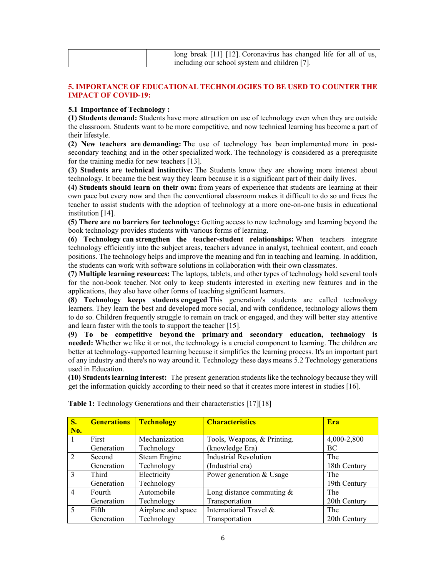| long break [11] [12]. Coronavirus has changed life for all of us, $\vert$ |
|---------------------------------------------------------------------------|
| including our school system and children [7].                             |

# **5. IMPORTANCE OF EDUCATIONAL TECHNOLOGIES TO BE USED TO COUNTER THE IMPACT OF COVID-19:**

### **5.1 Importance of Technology :**

**(1) Students demand:** Students have more attraction on use of technology even when they are outside the classroom. Students want to be more competitive, and now technical learning has become a part of their lifestyle.

**(2) New teachers are demanding:** The use of technology has been implemented more in postsecondary teaching and in the other specialized work. The technology is considered as a prerequisite for the training media for new teachers [13].

**(3) Students are technical instinctive:** The Students know they are showing more interest about technology. It became the best way they learn because it is a significant part of their daily lives.

**(4) Students should learn on their own:** from years of experience that students are learning at their own pace but every now and then the conventional classroom makes it difficult to do so and frees the teacher to assist students with the adoption of technology at a more one-on-one basis in educational institution [14].

**(5) There are no barriers for technology:** Getting access to new technology and learning beyond the book technology provides students with various forms of learning.

**(6) Technology can strengthen the teacher-student relationships:** When teachers integrate technology efficiently into the subject areas, teachers advance in analyst, technical content, and coach positions. The technology helps and improve the meaning and fun in teaching and learning. In addition, the students can work with software solutions in collaboration with their own classmates.

**(7) Multiple learning resources:** The laptops, tablets, and other types of technology hold several tools for the non-book teacher. Not only to keep students interested in exciting new features and in the applications, they also have other forms of teaching significant learners.

**(8) Technology keeps students engaged** This generation's students are called technology learners. They learn the best and developed more social, and with confidence, technology allows them to do so. Children frequently struggle to remain on track or engaged, and they will better stay attentive and learn faster with the tools to support the teacher [15].

**(9) To be competitive beyond the primary and secondary education, technology is needed:** Whether we like it or not, the technology is a crucial component to learning. The children are better at technology-supported learning because it simplifies the learning process. It's an important part of any industry and there's no way around it. Technology these days means 5.2 Technology generations used in Education.

**(10) Students learning interest:** The present generation students like the technology because they will get the information quickly according to their need so that it creates more interest in studies [16].

| <b>S.</b><br>No. | <b>Generations</b> | <b>Technology</b>  | <b>Characteristics</b>       | Era          |
|------------------|--------------------|--------------------|------------------------------|--------------|
|                  | First              | Mechanization      | Tools, Weapons, & Printing.  | 4,000-2,800  |
|                  | Generation         | Technology         | (knowledge Era)              | BC           |
| 2                | Second             | Steam Engine       | <b>Industrial Revolution</b> | The          |
|                  | Generation         | Technology         | (Industrial era)             | 18th Century |
| $\mathcal{E}$    | Third              | Electricity        | Power generation & Usage     | The          |
|                  | Generation         | Technology         |                              | 19th Century |
| $\overline{4}$   | Fourth             | Automobile         | Long distance commuting $\&$ | The          |
|                  | Generation         | Technology         | Transportation               | 20th Century |
| 5                | Fifth              | Airplane and space | International Travel &       | The          |
|                  | Generation         | Technology         | Transportation               | 20th Century |

**Table 1:** Technology Generations and their characteristics [17][18]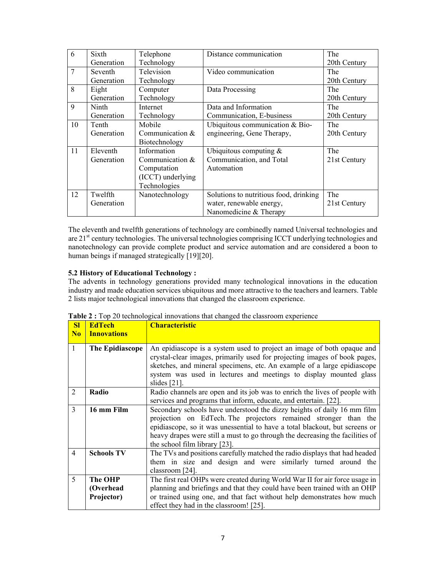| 6           | Sixth      | Telephone         | Distance communication                 | The          |
|-------------|------------|-------------------|----------------------------------------|--------------|
|             | Generation | Technology        |                                        | 20th Century |
| 7           | Seventh    | Television        | Video communication                    | The          |
|             | Generation | Technology        |                                        | 20th Century |
| 8           | Eight      | Computer          | Data Processing                        | The          |
|             | Generation | Technology        |                                        | 20th Century |
| $\mathbf Q$ | Ninth      | Internet          | Data and Information                   | The          |
|             | Generation | Technology        | Communication, E-business              | 20th Century |
| 10          | Tenth      | Mobile            | Ubiquitous communication & Bio-        | The          |
|             | Generation | Communication $&$ | engineering, Gene Therapy,             | 20th Century |
|             |            | Biotechnology     |                                        |              |
| 11          | Eleventh   | Information       | Ubiquitous computing $&$               | The          |
|             | Generation | Communication $&$ | Communication, and Total               | 21st Century |
|             |            | Computation       | Automation                             |              |
|             |            | (ICCT) underlying |                                        |              |
|             |            | Technologies      |                                        |              |
| 12          | Twelfth    | Nanotechnology    | Solutions to nutritious food, drinking | The          |
|             | Generation |                   | water, renewable energy,               | 21st Century |
|             |            |                   | Nanomedicine & Therapy                 |              |

The eleventh and twelfth generations of technology are combinedly named Universal technologies and are 21<sup>st</sup> century technologies. The universal technologies comprising ICCT underlying technologies and nanotechnology can provide complete product and service automation and are considered a boon to human beings if managed strategically [19][20].

# **5.2 History of Educational Technology :**

The advents in technology generations provided many technological innovations in the education industry and made education services ubiquitous and more attractive to the teachers and learners. Table 2 lists major technological innovations that changed the classroom experience.

| SI             | <b>EdTech</b>      | <b>Characteristic</b>                                                         |  |
|----------------|--------------------|-------------------------------------------------------------------------------|--|
| N <sub>0</sub> | <b>Innovations</b> |                                                                               |  |
| 1              | The Epidiascope    | An epidiascope is a system used to project an image of both opaque and        |  |
|                |                    | crystal-clear images, primarily used for projecting images of book pages,     |  |
|                |                    | sketches, and mineral specimens, etc. An example of a large epidiascope       |  |
|                |                    | system was used in lectures and meetings to display mounted glass             |  |
|                |                    | slides $[21]$ .                                                               |  |
| 2              | Radio              | Radio channels are open and its job was to enrich the lives of people with    |  |
|                |                    | services and programs that inform, educate, and entertain. [22].              |  |
| 3              | 16 mm Film         | Secondary schools have understood the dizzy heights of daily 16 mm film       |  |
|                |                    | projection on EdTech. The projectors remained stronger than the               |  |
|                |                    | epidiascope, so it was unessential to have a total blackout, but screens or   |  |
|                |                    | heavy drapes were still a must to go through the decreasing the facilities of |  |
|                |                    | the school film library [23].                                                 |  |
| $\overline{4}$ | <b>Schools TV</b>  | The TVs and positions carefully matched the radio displays that had headed    |  |
|                |                    | them in size and design and were similarly turned around the                  |  |
|                |                    | classroom [24].                                                               |  |
| 5              | The OHP            | The first real OHPs were created during World War II for air force usage in   |  |
|                | (Overhead          | planning and briefings and that they could have been trained with an OHP      |  |
|                | Projector)         | or trained using one, and that fact without help demonstrates how much        |  |
|                |                    | effect they had in the classroom! [25].                                       |  |

**Table 2 :** Top 20 technological innovations that changed the classroom experience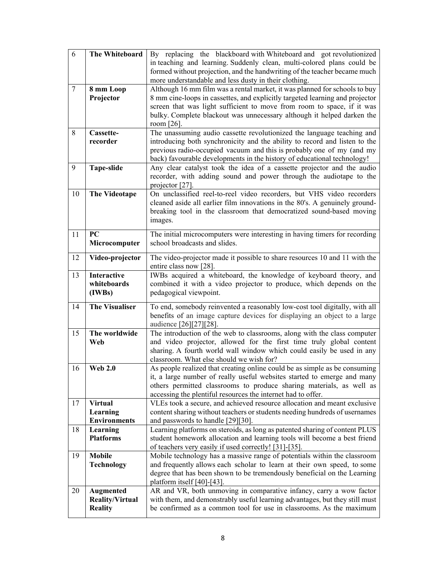| 6  | The Whiteboard                                        | By replacing the blackboard with Whiteboard and got revolutionized<br>in teaching and learning. Suddenly clean, multi-colored plans could be                                                                                                                                                                                 |
|----|-------------------------------------------------------|------------------------------------------------------------------------------------------------------------------------------------------------------------------------------------------------------------------------------------------------------------------------------------------------------------------------------|
|    |                                                       | formed without projection, and the handwriting of the teacher became much<br>more understandable and less dusty in their clothing.                                                                                                                                                                                           |
| 7  | 8 mm Loop<br>Projector                                | Although 16 mm film was a rental market, it was planned for schools to buy<br>8 mm cine-loops in cassettes, and explicitly targeted learning and projector<br>screen that was light sufficient to move from room to space, if it was<br>bulky. Complete blackout was unnecessary although it helped darken the<br>room [26]. |
| 8  | Cassette-<br>recorder                                 | The unassuming audio cassette revolutionized the language teaching and<br>introducing both synchronicity and the ability to record and listen to the<br>previous radio-occupied vacuum and this is probably one of my (and my<br>back) favourable developments in the history of educational technology!                     |
| 9  | <b>Tape-slide</b>                                     | Any clear catalyst took the idea of a cassette projector and the audio<br>recorder, with adding sound and power through the audiotape to the<br>projector [27].                                                                                                                                                              |
| 10 | <b>The Videotape</b>                                  | On unclassified reel-to-reel video recorders, but VHS video recorders<br>cleaned aside all earlier film innovations in the 80's. A genuinely ground-<br>breaking tool in the classroom that democratized sound-based moving<br>images.                                                                                       |
| 11 | PC<br>Microcomputer                                   | The initial microcomputers were interesting in having timers for recording<br>school broadcasts and slides.                                                                                                                                                                                                                  |
| 12 | Video-projector                                       | The video-projector made it possible to share resources 10 and 11 with the<br>entire class now [28].                                                                                                                                                                                                                         |
| 13 | <b>Interactive</b><br>whiteboards<br>(IWBs)           | IWBs acquired a whiteboard, the knowledge of keyboard theory, and<br>combined it with a video projector to produce, which depends on the<br>pedagogical viewpoint.                                                                                                                                                           |
| 14 | <b>The Visualiser</b>                                 | To end, somebody reinvented a reasonably low-cost tool digitally, with all<br>benefits of an image capture devices for displaying an object to a large<br>audience [26][27][28].                                                                                                                                             |
| 15 | The worldwide<br>Web                                  | The introduction of the web to classrooms, along with the class computer<br>and video projector, allowed for the first time truly global content<br>sharing. A fourth world wall window which could easily be used in any<br>classroom. What else should we wish for?                                                        |
| 16 | <b>Web 2.0</b>                                        | As people realized that creating online could be as simple as be consuming<br>it, a large number of really useful websites started to emerge and many<br>others permitted classrooms to produce sharing materials, as well as<br>accessing the plentiful resources the internet had to offer.                                |
| 17 | <b>Virtual</b><br>Learning<br><b>Environments</b>     | VLEs took a secure, and achieved resource allocation and meant exclusive<br>content sharing without teachers or students needing hundreds of usernames<br>and passwords to handle [29][30].                                                                                                                                  |
| 18 | Learning<br><b>Platforms</b>                          | Learning platforms on steroids, as long as patented sharing of content PLUS<br>student homework allocation and learning tools will become a best friend<br>of teachers very easily if used correctly! [31]-[35].                                                                                                             |
| 19 | <b>Mobile</b><br><b>Technology</b>                    | Mobile technology has a massive range of potentials within the classroom<br>and frequently allows each scholar to learn at their own speed, to some<br>degree that has been shown to be tremendously beneficial on the Learning<br>platform itself $[40]$ - $[43]$ .                                                         |
| 20 | Augmented<br><b>Reality/Virtual</b><br><b>Reality</b> | AR and VR, both unmoving in comparative infancy, carry a wow factor<br>with them, and demonstrably useful learning advantages, but they still must<br>be confirmed as a common tool for use in classrooms. As the maximum                                                                                                    |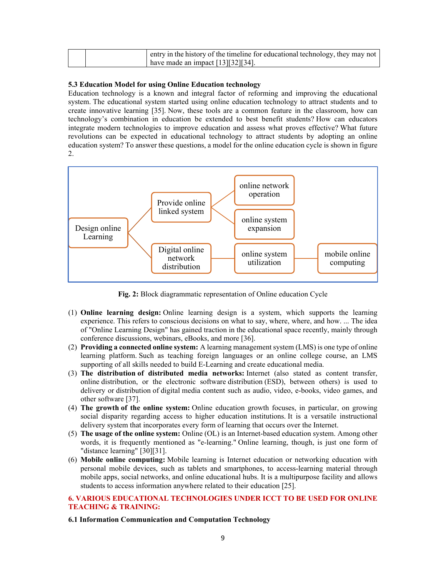|  | entry in the history of the timeline for educational technology, they may not |
|--|-------------------------------------------------------------------------------|
|  | have made an impact $[13][32][34]$ .                                          |

#### **5.3 Education Model for using Online Education technology**

Education technology is a known and integral factor of reforming and improving the educational system. The educational system started using online education technology to attract students and to create innovative learning [35]. Now, these tools are a common feature in the classroom, how can technology's combination in education be extended to best benefit students? How can educators integrate modern technologies to improve education and assess what proves effective? What future revolutions can be expected in educational technology to attract students by adopting an online education system? To answer these questions, a model for the online education cycle is shown in figure 2.



**Fig. 2:** Block diagrammatic representation of Online education Cycle

- (1) **Online learning design:** Online learning design is a system, which supports the learning experience. This refers to conscious decisions on what to say, where, where, and how. ... The idea of "Online Learning Design" has gained traction in the educational space recently, mainly through conference discussions, webinars, eBooks, and more [36].
- (2) **Providing a connected online system:** A learning management system (LMS) is one type of online learning platform. Such as teaching foreign languages or an online college course, an LMS supporting of all skills needed to build E-Learning and create educational media.
- (3) **The distribution of distributed media networks:** Internet (also stated as content transfer, online distribution, or the electronic software distribution (ESD), between others) is used to delivery or distribution of digital media content such as audio, video, e-books, video games, and other software [37].
- (4) **The growth of the online system:** Online education growth focuses, in particular, on growing social disparity regarding access to higher education institutions. It is a versatile instructional delivery system that incorporates every form of learning that occurs over the Internet.
- (5) **The usage of the online system:** Online (OL) is an Internet-based education system. Among other words, it is frequently mentioned as "e-learning." Online learning, though, is just one form of "distance learning" [30][31].
- (6) **Mobile online computing:** Mobile learning is Internet education or networking education with personal mobile devices, such as tablets and smartphones, to access-learning material through mobile apps, social networks, and online educational hubs. It is a multipurpose facility and allows students to access information anywhere related to their education [25].

# **6. VARIOUS EDUCATIONAL TECHNOLOGIES UNDER ICCT TO BE USED FOR ONLINE TEACHING & TRAINING:**

#### **6.1 Information Communication and Computation Technology**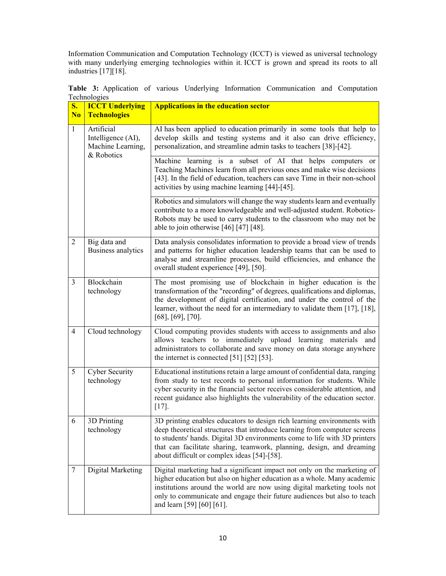Information Communication and Computation Technology (ICCT) is viewed as universal technology with many underlying emerging technologies within it. ICCT is grown and spread its roots to all industries [17][18].

| $\overline{\mathbf{S}}$ .<br>N <sub>o</sub> | <b>ICCT Underlying</b><br><b>Technologies</b>                       | <b>Applications in the education sector</b>                                                                                                                                                                                                                                                                                                               |
|---------------------------------------------|---------------------------------------------------------------------|-----------------------------------------------------------------------------------------------------------------------------------------------------------------------------------------------------------------------------------------------------------------------------------------------------------------------------------------------------------|
| $\mathbf{1}$                                | Artificial<br>Intelligence (AI),<br>Machine Learning,<br>& Robotics | AI has been applied to education primarily in some tools that help to<br>develop skills and testing systems and it also can drive efficiency,<br>personalization, and streamline admin tasks to teachers [38]-[42].                                                                                                                                       |
|                                             |                                                                     | Machine learning is a subset of AI that helps computers or<br>Teaching Machines learn from all previous ones and make wise decisions<br>[43]. In the field of education, teachers can save Time in their non-school<br>activities by using machine learning [44]-[45].                                                                                    |
|                                             |                                                                     | Robotics and simulators will change the way students learn and eventually<br>contribute to a more knowledgeable and well-adjusted student. Robotics-<br>Robots may be used to carry students to the classroom who may not be<br>able to join otherwise $[46] [47] [48]$ .                                                                                 |
| $\overline{2}$                              | Big data and<br>Business analytics                                  | Data analysis consolidates information to provide a broad view of trends<br>and patterns for higher education leadership teams that can be used to<br>analyse and streamline processes, build efficiencies, and enhance the<br>overall student experience [49], [50].                                                                                     |
| $\overline{3}$                              | Blockchain<br>technology                                            | The most promising use of blockchain in higher education is the<br>transformation of the "recording" of degrees, qualifications and diplomas,<br>the development of digital certification, and under the control of the<br>learner, without the need for an intermediary to validate them [17], [18],<br>$[68]$ , $[69]$ , $[70]$ .                       |
| $\overline{4}$                              | Cloud technology                                                    | Cloud computing provides students with access to assignments and also<br>allows teachers to immediately upload learning materials and<br>administrators to collaborate and save money on data storage anywhere<br>the internet is connected $[51] [52] [53]$ .                                                                                            |
| 5                                           | <b>Cyber Security</b><br>technology                                 | Educational institutions retain a large amount of confidential data, ranging<br>from study to test records to personal information for students. While<br>cyber security in the financial sector receives considerable attention, and<br>recent guidance also highlights the vulnerability of the education sector.<br>$[17]$ .                           |
| 6                                           | 3D Printing<br>technology                                           | 3D printing enables educators to design rich learning environments with<br>deep theoretical structures that introduce learning from computer screens<br>to students' hands. Digital 3D environments come to life with 3D printers<br>that can facilitate sharing, teamwork, planning, design, and dreaming<br>about difficult or complex ideas [54]-[58]. |
| $\tau$                                      | Digital Marketing                                                   | Digital marketing had a significant impact not only on the marketing of<br>higher education but also on higher education as a whole. Many academic<br>institutions around the world are now using digital marketing tools not<br>only to communicate and engage their future audiences but also to teach<br>and learn [59] [60] [61].                     |

**Table 3:** Application of various Underlying Information Communication and Computation Technologies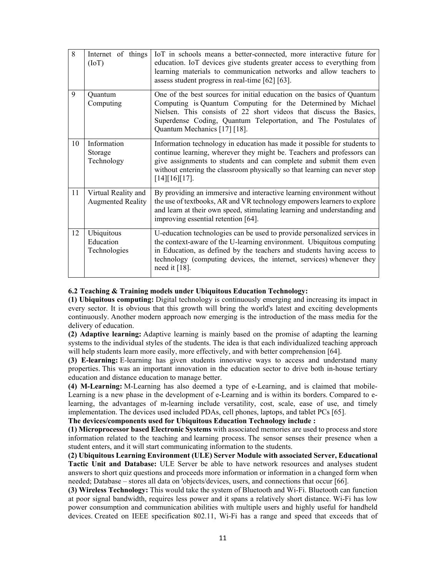| 8  | Internet of things<br>(IoT)                     | IoT in schools means a better-connected, more interactive future for<br>education. IoT devices give students greater access to everything from<br>learning materials to communication networks and allow teachers to<br>assess student progress in real-time [62] [63].                                                   |
|----|-------------------------------------------------|---------------------------------------------------------------------------------------------------------------------------------------------------------------------------------------------------------------------------------------------------------------------------------------------------------------------------|
| 9  | Quantum<br>Computing                            | One of the best sources for initial education on the basics of Quantum<br>Computing is Quantum Computing for the Determined by Michael<br>Nielsen. This consists of 22 short videos that discuss the Basics,<br>Superdense Coding, Quantum Teleportation, and The Postulates of<br>Quantum Mechanics [17] [18].           |
| 10 | Information<br>Storage<br>Technology            | Information technology in education has made it possible for students to<br>continue learning, wherever they might be. Teachers and professors can<br>give assignments to students and can complete and submit them even<br>without entering the classroom physically so that learning can never stop<br>$[14][16][17]$ . |
| 11 | Virtual Reality and<br><b>Augmented Reality</b> | By providing an immersive and interactive learning environment without<br>the use of textbooks, AR and VR technology empowers learners to explore<br>and learn at their own speed, stimulating learning and understanding and<br>improving essential retention [64].                                                      |
| 12 | Ubiquitous<br>Education<br>Technologies         | U-education technologies can be used to provide personalized services in<br>the context-aware of the U-learning environment. Ubiquitous computing<br>in Education, as defined by the teachers and students having access to<br>technology (computing devices, the internet, services) whenever they<br>need it $[18]$ .   |

#### **6.2 Teaching & Training models under Ubiquitous Education Technology:**

**(1) Ubiquitous computing:** Digital technology is continuously emerging and increasing its impact in every sector. It is obvious that this growth will bring the world's latest and exciting developments continuously. Another modern approach now emerging is the introduction of the mass media for the delivery of education.

**(2) Adaptive learning:** Adaptive learning is mainly based on the promise of adapting the learning systems to the individual styles of the students. The idea is that each individualized teaching approach will help students learn more easily, more effectively, and with better comprehension [64].

**(3) E-learning:** E-learning has given students innovative ways to access and understand many properties. This was an important innovation in the education sector to drive both in-house tertiary education and distance education to manage better.

**(4) M-Learning:** M-Learning has also deemed a type of e-Learning, and is claimed that mobile-Learning is a new phase in the development of e-Learning and is within its borders. Compared to elearning, the advantages of m-learning include versatility, cost, scale, ease of use, and timely implementation. The devices used included PDAs, cell phones, laptops, and tablet PCs [65].

**The devices/components used for Ubiquitous Education Technology include :**

**(1) Microprocessor based Electronic Systems** with associated memories are used to process and store information related to the teaching and learning process. The sensor senses their presence when a student enters, and it will start communicating information to the students.

**(2) Ubiquitous Learning Environment (ULE) Server Module with associated Server, Educational Tactic Unit and Database:** ULE Server be able to have network resources and analyses student answers to short quiz questions and proceeds more information or information in a changed form when needed; Database – stores all data on 'objects/devices, users, and connections that occur [66].

**(3) Wireless Technology:** This would take the system of Bluetooth and Wi-Fi. Bluetooth can function at poor signal bandwidth, requires less power and it spans a relatively short distance. Wi-Fi has low power consumption and communication abilities with multiple users and highly useful for handheld devices. Created on IEEE specification 802.11, Wi-Fi has a range and speed that exceeds that of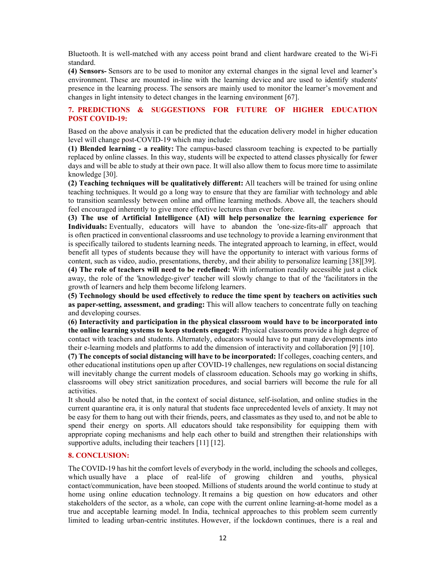Bluetooth. It is well-matched with any access point brand and client hardware created to the Wi-Fi standard.

**(4) Sensors-** Sensors are to be used to monitor any external changes in the signal level and learner's environment. These are mounted in-line with the learning device and are used to identify students' presence in the learning process. The sensors are mainly used to monitor the learner's movement and changes in light intensity to detect changes in the learning environment [67].

# **7. PREDICTIONS & SUGGESTIONS FOR FUTURE OF HIGHER EDUCATION POST COVID-19:**

Based on the above analysis it can be predicted that the education delivery model in higher education level will change post-COVID-19 which may include:

**(1) Blended learning - a reality:** The campus-based classroom teaching is expected to be partially replaced by online classes. In this way, students will be expected to attend classes physically for fewer days and will be able to study at their own pace. It will also allow them to focus more time to assimilate knowledge [30].

**(2) Teaching techniques will be qualitatively different:** All teachers will be trained for using online teaching techniques. It would go a long way to ensure that they are familiar with technology and able to transition seamlessly between online and offline learning methods. Above all, the teachers should feel encouraged inherently to give more effective lectures than ever before.

**(3) The use of Artificial Intelligence (AI) will help personalize the learning experience for Individuals:** Eventually, educators will have to abandon the 'one-size-fits-all' approach that is often practiced in conventional classrooms and use technology to provide a learning environment that is specifically tailored to students learning needs. The integrated approach to learning, in effect, would benefit all types of students because they will have the opportunity to interact with various forms of content, such as video, audio, presentations, thereby, and their ability to personalize learning [38][39].

**(4) The role of teachers will need to be redefined:** With information readily accessible just a click away, the role of the 'knowledge-giver' teacher will slowly change to that of the 'facilitators in the growth of learners and help them become lifelong learners.

**(5) Technology should be used effectively to reduce the time spent by teachers on activities such as paper-setting, assessment, and grading:** This will allow teachers to concentrate fully on teaching and developing courses.

**(6) Interactivity and participation in the physical classroom would have to be incorporated into the online learning systems to keep students engaged:** Physical classrooms provide a high degree of contact with teachers and students. Alternately, educators would have to put many developments into their e-learning models and platforms to add the dimension of interactivity and collaboration [9] [10].

**(7) The concepts of social distancing will have to be incorporated:** If colleges, coaching centers, and other educational institutions open up after COVID-19 challenges, new regulations on social distancing will inevitably change the current models of classroom education. Schools may go working in shifts, classrooms will obey strict sanitization procedures, and social barriers will become the rule for all activities.

It should also be noted that, in the context of social distance, self-isolation, and online studies in the current quarantine era, it is only natural that students face unprecedented levels of anxiety. It may not be easy for them to hang out with their friends, peers, and classmates as they used to, and not be able to spend their energy on sports. All educators should take responsibility for equipping them with appropriate coping mechanisms and help each other to build and strengthen their relationships with supportive adults, including their teachers [11] [12].

# **8. CONCLUSION:**

The COVID-19 has hit the comfort levels of everybody in the world, including the schools and colleges, which usually have a place of real-life of growing children and youths, physical contact/communication, have been stooped. Millions of students around the world continue to study at home using online education technology. It remains a big question on how educators and other stakeholders of the sector, as a whole, can cope with the current online learning-at-home model as a true and acceptable learning model. In India, technical approaches to this problem seem currently limited to leading urban-centric institutes. However, if the lockdown continues, there is a real and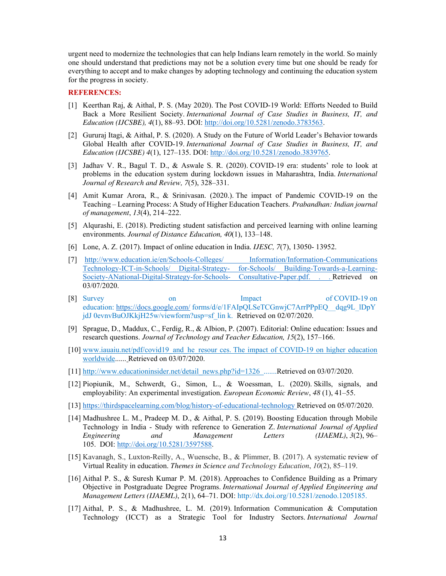urgent need to modernize the technologies that can help Indians learn remotely in the world. So mainly one should understand that predictions may not be a solution every time but one should be ready for everything to accept and to make changes by adopting technology and continuing the education system for the progress in society.

# **REFERENCES:**

- [1] Keerthan Raj, & Aithal, P. S. (May 2020). The Post COVID-19 World: Efforts Needed to Build Back a More Resilient Society. *International Journal of Case Studies in Business, IT, and Education (IJCSBE), 4*(1), 88–93. DOI: http://doi.org/10.5281/zenodo.3783563.
- [2] Gururaj Itagi, & Aithal, P. S. (2020). A Study on the Future of World Leader's Behavior towards Global Health after COVID-19. *International Journal of Case Studies in Business, IT, and Education (IJCSBE) 4*(1), 127–135. DOI: http://doi.org/10.5281/zenodo.3839765.
- [3] Jadhav V. R., Bagul T. D., & Aswale S. R. (2020). COVID-19 era: students' role to look at problems in the education system during lockdown issues in Maharashtra, India. *International Journal of Research and Review, 7*(5), 328–331.
- [4] Amit Kumar Arora, R., & Srinivasan. (2020.). The impact of Pandemic COVID-19 on the Teaching – Learning Process: A Study of Higher Education Teachers. *Prabandhan: Indian journal of management*, *13*(4), 214–222.
- [5] Alqurashi, E. (2018). Predicting student satisfaction and perceived learning with online learning environments. *Journal of Distance Education, 40*(1), 133–148.
- [6] Lone, A. Z. (2017). Impact of online education in India. *IJESC, 7*(7), 13050- 13952.
- [7] http://www.education.ie/en/Schools-Colleges/ Information/Information-Communications Technology-ICT-in-Schools/ Digital-Strategy- for-Schools/ Building-Towards-a-Learning-Society-ANational-Digital-Strategy-for-Schools- Consultative-Paper.pdf. . . Retrieved on 03/07/2020.
- [8] Survey on Impact of COVID-19 on education: https://docs.google.com/ forms/d/e/1FAIpQLSeTCGnwjC7ArrPPpEQ\_\_dqg9L\_lDpY jdJ 0evnvBuOJKkjH25w/viewform?usp=sf\_lin k. Retrieved on 02/07/2020.
- [9] Sprague, D., Maddux, C., Ferdig, R., & Albion, P. (2007). Editorial: Online education: Issues and research questions. *Journal of Technology and Teacher Education, 15*(2), 157–166.
- [10] www.iauaiu.net/pdf/covid19\_and\_he\_resour ces. The impact of COVID-19 on higher education worldwide...... Retrieved on 03/07/2020.
- [11] http://www.educationinsider.net/detail\_news.php?id=1326 .......Retrieved on 03/07/2020.
- [12] Piopiunik, M., Schwerdt, G., Simon, L., & Woessman, L. (2020). Skills, signals, and employability: An experimental investigation. *European Economic Review*, *48* (1), 41–55.
- [13] https://thirdspacelearning.com/blog/history-of-educational-technology Retrieved on 05/07/2020.
- [14] Madhushree L. M., Pradeep M. D., & Aithal, P. S. (2019). Boosting Education through Mobile Technology in India - Study with reference to Generation Z. *International Journal of Applied Engineering and Management Letters (IJAEML)*, *3*(2), 96– 105. DOI: http://doi.org/10.5281/3597588.
- [15] Kavanagh, S., Luxton-Reilly, A., Wuensche, B., & Plimmer, B. (2017). A systematic review of Virtual Reality in education. *Themes in Science and Technology Education*, *10*(2), 85–119.
- [16] Aithal P. S., & Suresh Kumar P. M. (2018). Approaches to Confidence Building as a Primary Objective in Postgraduate Degree Programs. *International Journal of Applied Engineering and Management Letters (IJAEML)*, 2(1), 64–71. DOI: http://dx.doi.org/10.5281/zenodo.1205185.
- [17] Aithal, P. S., & Madhushree, L. M. (2019). Information Communication & Computation Technology (ICCT) as a Strategic Tool for Industry Sectors. *International Journal*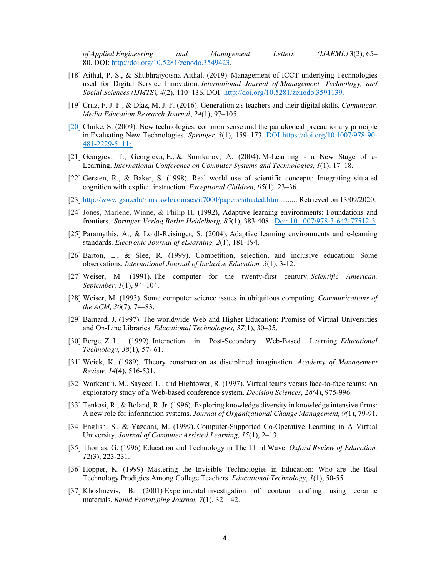*of Applied Engineering and Management Letters (IJAEML)* 3(2), 65– 80. DOI: http://doi.org/10.5281/zenodo.3549423.

- [18] Aithal, P. S., & Shubhrajyotsna Aithal. (2019). Management of ICCT underlying Technologies used for Digital Service Innovation. *International Journal of Management, Technology, and Social Sciences (IJMTS), 4*(2), 110–136. DOI: http://doi.org/10.5281/zenodo.3591139.
- [19] Cruz, F. J. F., & Díaz, M. J. F. (2016). Generation z's teachers and their digital skills. *Comunicar. Media Education Research Journal*, *24*(1), 97–105.
- [20] Clarke, S. (2009). New technologies, common sense and the paradoxical precautionary principle in Evaluating New Technologies. *Springer, 3*(1), 159–173. DOI https://doi.org/10.1007/978-90- 481-2229-5\_11;
- [21] Georgiev, T., Georgieva, E., & Smrikarov, A. (2004). M-Learning a New Stage of e-Learning. *International Conference on Computer Systems and Technologies*, *1*(1), 17–18.
- [22] Gersten, R., & Baker, S. (1998). Real world use of scientific concepts: Integrating situated cognition with explicit instruction. *Exceptional Children, 65*(1), 23–36.
- [23] http://www.gsu.edu/~mstswh/courses/it7000/papers/situated.htm ......... Retrieved on 13/09/2020.
- [24] Jones**,** Marlene, Winne, & Philip H. (1992), Adaptive learning environments: Foundations and frontiers. *Springer-Verlag Berlin Heidelberg, 85*(1), 383-408. Doi: 10.1007/978-3-642-77512-3
- [25] Paramythis, A., & Loidl-Reisinger, S. (2004). Adaptive learning environments and e-learning standards. *Electronic Journal of eLearning, 2*(1), 181-194.
- [26] Barton, L., & Slee, R. (1999). Competition, selection, and inclusive education: Some observations. *International Journal of Inclusive Education, 3*(1), 3-12.
- [27] Weiser, M. (1991). The computer for the twenty-first century. *Scientific American, September, 1*(1), 94–104.
- [28] Weiser, M. (1993). Some computer science issues in ubiquitous computing. *Communications of the ACM, 36*(7), 74–83.
- [29] Barnard, J. (1997). The worldwide Web and Higher Education: Promise of Virtual Universities and On-Line Libraries. *Educational Technologies, 37*(1), 30–35.
- [30] Berge, Z. L. (1999). Interaction in Post-Secondary Web-Based Learning. *Educational Technology, 38*(1)*,* 57- 61.
- [31] Weick, K. (1989). Theory construction as disciplined imagination*. Academy of Management Review, 14*(4), 516-531.
- [32] Warkentin, M., Sayeed, L., and Hightower, R. (1997). Virtual teams versus face-to-face teams: An exploratory study of a Web-based conference system. *Decision Sciences, 28(*4), 975-996.
- [33] Tenkasi, R., & Boland, R. Jr. (1996). Exploring knowledge diversity in knowledge intensive firms: A new role for information systems. *Journal of Organizational Change Management, 9(*1), 79-91.
- [34] English, S., & Yazdani, M. (1999). Computer-Supported Co-Operative Learning in A Virtual University. *Journal of Computer Assisted Learning, 15*(1), 2–13.
- [35] Thomas, G. (1996) Education and Technology in The Third Wave. *Oxford Review of Education, 12*(3), 223-231.
- [36] Hopper, K. (1999) Mastering the Invisible Technologies in Education: Who are the Real Technology Prodigies Among College Teachers. *Educational Technology*, *1*(1), 50-55.
- [37] Khoshnevis, B. (2001) Experimental investigation of contour crafting using ceramic materials. *Rapid Prototyping Journal, 7*(1), 32 – 42.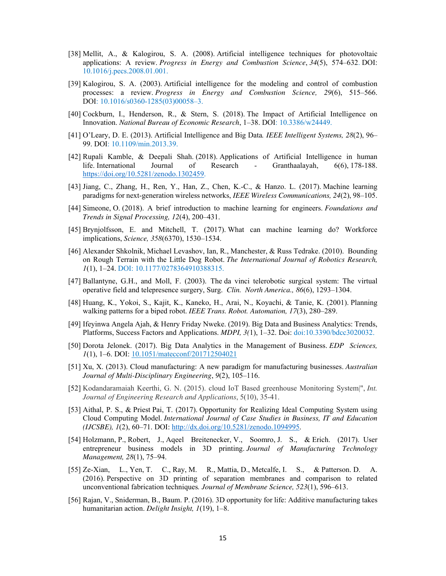- [38] Mellit, A., & Kalogirou, S. A. (2008). Artificial intelligence techniques for photovoltaic applications: A review. *Progress in Energy and Combustion Science*, *34*(5), 574–632. DOI: 10.1016/j.pecs.2008.01.001.
- [39] Kalogirou, S. A. (2003). Artificial intelligence for the modeling and control of combustion processes: a review. *Progress in Energy and Combustion Science, 29*(6), 515–566. DOI: 10.1016/s0360-1285(03)00058–3.
- [40] Cockburn, I., Henderson, R., & Stern, S. (2018). The Impact of Artificial Intelligence on Innovation. *National Bureau of Economic Research*, 1–38. DOI: 10.3386/w24449.
- [41] O'Leary, D. E. (2013). Artificial Intelligence and Big Data*. IEEE Intelligent Systems, 28*(2), 96– 99. DOI: 10.1109/min.2013.39.
- [42] Rupali Kamble, & Deepali Shah. (2018). Applications of Artificial Intelligence in human life. International Journal of Research - Granthaalayah, 6(6), 178-188. https://doi.org/10.5281/zenodo.1302459.
- [43] Jiang, C., Zhang, H., Ren, Y., Han, Z., Chen, K.-C., & Hanzo. L. (2017). Machine learning paradigms for next-generation wireless networks, *IEEE Wireless Communications, 24*(2), 98–105.
- [44] Simeone, O. (2018). A brief introduction to machine learning for engineers. *Foundations and Trends in Signal Processing, 12*(4), 200–431.
- [45] Brynjolfsson, E. and Mitchell, T. (2017). What can machine learning do? Workforce implications, *Science, 358*(6370), 1530–1534.
- [46] Alexander Shkolnik, Michael Levashov, Ian, R., Manchester, & Russ Tedrake. (2010). Bounding on Rough Terrain with the Little Dog Robot. *The International Journal of Robotics Research, 1*(1), 1–24. DOI: 10.1177/0278364910388315.
- [47] Ballantyne, G.H., and Moll, F. (2003). The da vinci telerobotic surgical system: The virtual operative field and telepresence surgery, Surg. *Clin. North America., 86*(6), 1293–1304.
- [48] Huang, K., Yokoi, S., Kajit, K., Kaneko, H., Arai, N., Koyachi, & Tanie, K. (2001). Planning walking patterns for a biped robot. *IEEE Trans. Robot. Automation, 17*(3), 280–289.
- [49] Ifeyinwa Angela Ajah, & Henry Friday Nweke. (2019). Big Data and Business Analytics: Trends, Platforms, Success Factors and Applications. *MDPI, 3(*1), 1–32. Doi: doi:10.3390/bdcc3020032.
- [50] Dorota Jelonek. (2017). Big Data Analytics in the Management of Business. *EDP Sciences, 1*(1), 1–6. DOI: <u>10.1051/matecconf/201712504021</u>
- [51] Xu, X. (2013). Cloud manufacturing: A new paradigm for manufacturing businesses. *Australian Journal of Multi-Disciplinary Engineering*, *9*(2), 105–116.
- [52] Kodandaramaiah Keerthi, G. N. (2015). cloud IoT Based greenhouse Monitoring System|", *Int. Journal of Engineering Research and Applications*, 5(10), 35-41.
- [53] Aithal, P. S., & Priest Pai, T. (2017). Opportunity for Realizing Ideal Computing System using Cloud Computing Model. *International Journal of Case Studies in Business, IT and Education (IJCSBE), 1*(2), 60–71. DOI: http://dx.doi.org/10.5281/zenodo.1094995.
- [54] Holzmann, P., Robert, J., Aqeel Breitenecker, V., Soomro, J. S., & Erich. (2017). User entrepreneur business models in 3D printing. *Journal of Manufacturing Technology Management, 28*(1), 75–94.
- [55] Ze-Xian, L., Yen, T. C., Ray, M. R., Mattia, D., Metcalfe, I. S., & Patterson. D. A. (2016). Perspective on 3D printing of separation membranes and comparison to related unconventional fabrication techniques*. Journal of Membrane Science, 523*(1), 596–613.
- [56] Rajan, V., Sniderman, B., Baum. P. (2016). 3D opportunity for life: Additive manufacturing takes humanitarian action. *Delight Insight, 1*(19), 1–8.